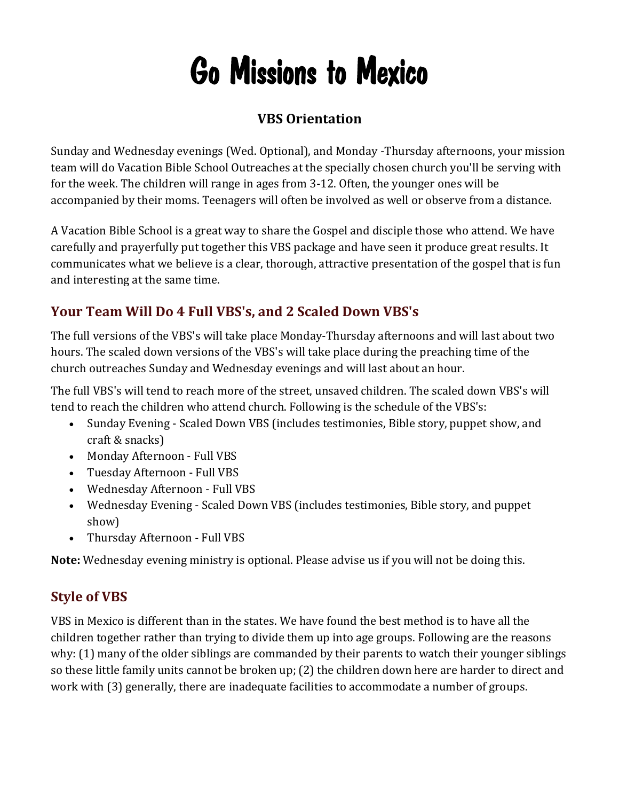# Go Missions to Mexico

## **VBS Orientation**

Sunday and Wednesday evenings (Wed. Optional), and Monday -Thursday afternoons, your mission team will do Vacation Bible School Outreaches at the specially chosen church you'll be serving with for the week. The children will range in ages from 3-12. Often, the younger ones will be accompanied by their moms. Teenagers will often be involved as well or observe from a distance.

A Vacation Bible School is a great way to share the Gospel and disciple those who attend. We have carefully and prayerfully put together this VBS package and have seen it produce great results. It communicates what we believe is a clear, thorough, attractive presentation of the gospel that is fun and interesting at the same time.

## **Your Team Will Do 4 Full VBS's, and 2 Scaled Down VBS's**

The full versions of the VBS's will take place Monday-Thursday afternoons and will last about two hours. The scaled down versions of the VBS's will take place during the preaching time of the church outreaches Sunday and Wednesday evenings and will last about an hour.

The full VBS's will tend to reach more of the street, unsaved children. The scaled down VBS's will tend to reach the children who attend church. Following is the schedule of the VBS's:

- Sunday Evening Scaled Down VBS (includes testimonies, Bible story, puppet show, and craft & snacks)
- Monday Afternoon Full VBS
- Tuesday Afternoon Full VBS
- Wednesday Afternoon Full VBS
- Wednesday Evening Scaled Down VBS (includes testimonies, Bible story, and puppet show)
- Thursday Afternoon Full VBS

**Note:** Wednesday evening ministry is optional. Please advise us if you will not be doing this.

## **Style of VBS**

VBS in Mexico is different than in the states. We have found the best method is to have all the children together rather than trying to divide them up into age groups. Following are the reasons why: (1) many of the older siblings are commanded by their parents to watch their younger siblings so these little family units cannot be broken up; (2) the children down here are harder to direct and work with (3) generally, there are inadequate facilities to accommodate a number of groups.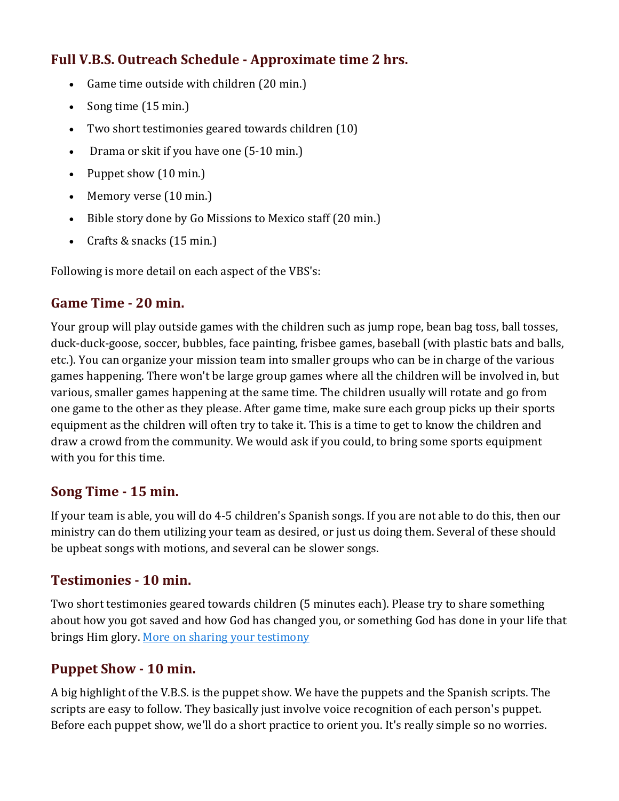## **Full V.B.S. Outreach Schedule - Approximate time 2 hrs.**

- Game time outside with children (20 min.)
- Song time (15 min.)
- Two short testimonies geared towards children (10)
- Drama or skit if you have one (5-10 min.)
- Puppet show (10 min.)
- Memory verse (10 min.)
- Bible story done by Go Missions to Mexico staff (20 min.)
- Crafts & snacks (15 min.)

Following is more detail on each aspect of the VBS's:

## **Game Time - 20 min.**

Your group will play outside games with the children such as jump rope, bean bag toss, ball tosses, duck-duck-goose, soccer, bubbles, face painting, frisbee games, baseball (with plastic bats and balls, etc.). You can organize your mission team into smaller groups who can be in charge of the various games happening. There won't be large group games where all the children will be involved in, but various, smaller games happening at the same time. The children usually will rotate and go from one game to the other as they please. After game time, make sure each group picks up their sports equipment as the children will often try to take it. This is a time to get to know the children and draw a crowd from the community. We would ask if you could, to bring some sports equipment with you for this time.

## **Song Time - 15 min.**

If your team is able, you will do 4-5 children's Spanish songs. If you are not able to do this, then our ministry can do them utilizing your team as desired, or just us doing them. Several of these should be upbeat songs with motions, and several can be slower songs.

## **Testimonies - 10 min.**

Two short testimonies geared towards children (5 minutes each). Please try to share something about how you got saved and how God has changed you, or something God has done in your life that brings Him glory. More on sharing your testimony

## **Puppet Show - 10 min.**

A big highlight of the V.B.S. is the puppet show. We have the puppets and the Spanish scripts. The scripts are easy to follow. They basically just involve voice recognition of each person's puppet. Before each puppet show, we'll do a short practice to orient you. It's really simple so no worries.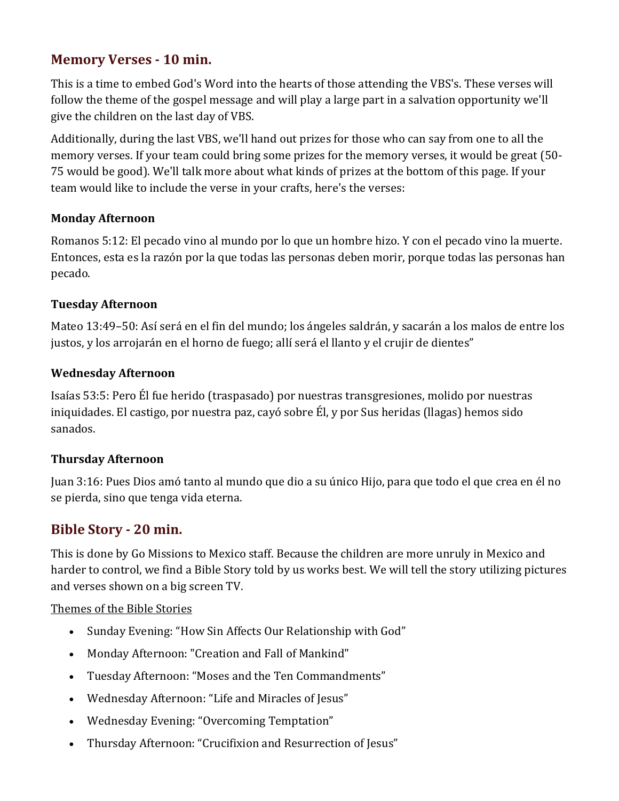## **Memory Verses - 10 min.**

This is a time to embed God's Word into the hearts of those attending the VBS's. These verses will follow the theme of the gospel message and will play a large part in a salvation opportunity we'll give the children on the last day of VBS.

Additionally, during the last VBS, we'll hand out prizes for those who can say from one to all the memory verses. If your team could bring some prizes for the memory verses, it would be great (50- 75 would be good). We'll talk more about what kinds of prizes at the bottom of this page. If your team would like to include the verse in your crafts, here's the verses:

#### **Monday Afternoon**

Romanos 5:12: El pecado vino al mundo por lo que un hombre hizo. Y con el pecado vino la muerte. Entonces, esta es la razón por la que todas las personas deben morir, porque todas las personas han pecado.

#### **Tuesday Afternoon**

Mateo 13:49–50: Así será en el fin del mundo; los ángeles saldrán, y sacarán a los malos de entre los justos, y los arrojarán en el horno de fuego; allí será el llanto y el crujir de dientes"

#### **Wednesday Afternoon**

Isaías 53:5: Pero Él fue herido (traspasado) por nuestras transgresiones, molido por nuestras iniquidades. El castigo, por nuestra paz, cayó sobre Él, y por Sus heridas (llagas) hemos sido sanados.

#### **Thursday Afternoon**

Juan 3:16: Pues Dios amó tanto al mundo que dio a su único Hijo, para que todo el que crea en él no se pierda, sino que tenga vida eterna.

## **Bible Story - 20 min.**

This is done by Go Missions to Mexico staff. Because the children are more unruly in Mexico and harder to control, we find a Bible Story told by us works best. We will tell the story utilizing pictures and verses shown on a big screen TV.

#### Themes of the Bible Stories

- Sunday Evening: "How Sin Affects Our Relationship with God"
- Monday Afternoon: "Creation and Fall of Mankind"
- Tuesday Afternoon: "Moses and the Ten Commandments"
- Wednesday Afternoon: "Life and Miracles of Jesus"
- Wednesday Evening: "Overcoming Temptation"
- Thursday Afternoon: "Crucifixion and Resurrection of Jesus"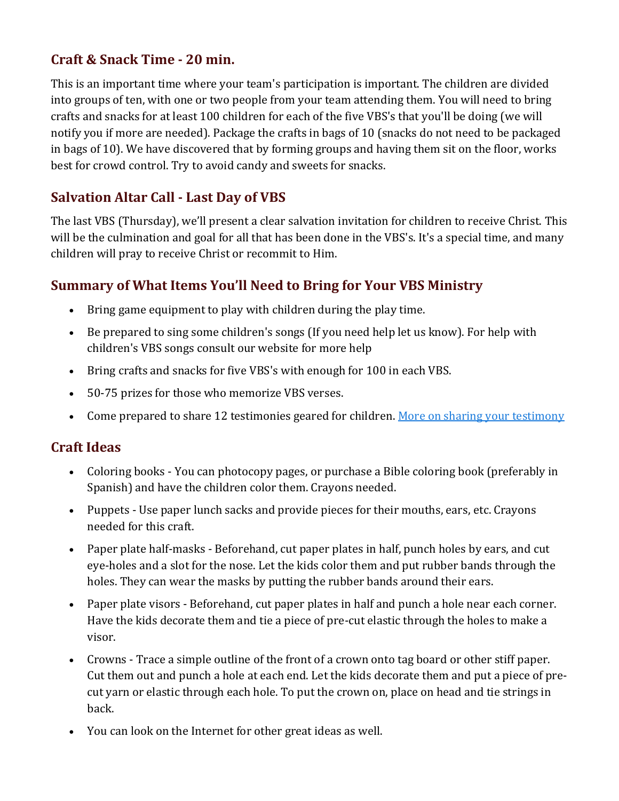## **Craft & Snack Time - 20 min.**

This is an important time where your team's participation is important. The children are divided into groups of ten, with one or two people from your team attending them. You will need to bring crafts and snacks for at least 100 children for each of the five VBS's that you'll be doing (we will notify you if more are needed). Package the crafts in bags of 10 (snacks do not need to be packaged in bags of 10). We have discovered that by forming groups and having them sit on the floor, works best for crowd control. Try to avoid candy and sweets for snacks.

## **Salvation Altar Call - Last Day of VBS**

The last VBS (Thursday), we'll present a clear salvation invitation for children to receive Christ. This will be the culmination and goal for all that has been done in the VBS's. It's a special time, and many children will pray to receive Christ or recommit to Him.

## **Summary of What Items You'll Need to Bring for Your VBS Ministry**

- Bring game equipment to play with children during the play time.
- Be prepared to sing some children's songs (If you need help let us know). For help with children's VBS songs consult our website for more help
- Bring crafts and snacks for five VBS's with enough for 100 in each VBS.
- 50-75 prizes for those who memorize VBS verses.
- Come prepared to share 12 testimonies geared for children. More on sharing your testimony

## **Craft Ideas**

- Coloring books You can photocopy pages, or purchase a Bible coloring book (preferably in Spanish) and have the children color them. Crayons needed.
- Puppets Use paper lunch sacks and provide pieces for their mouths, ears, etc. Crayons needed for this craft.
- Paper plate half-masks Beforehand, cut paper plates in half, punch holes by ears, and cut eye-holes and a slot for the nose. Let the kids color them and put rubber bands through the holes. They can wear the masks by putting the rubber bands around their ears.
- Paper plate visors Beforehand, cut paper plates in half and punch a hole near each corner. Have the kids decorate them and tie a piece of pre-cut elastic through the holes to make a visor.
- Crowns Trace a simple outline of the front of a crown onto tag board or other stiff paper. Cut them out and punch a hole at each end. Let the kids decorate them and put a piece of precut yarn or elastic through each hole. To put the crown on, place on head and tie strings in back.
- You can look on the Internet for other great ideas as well.